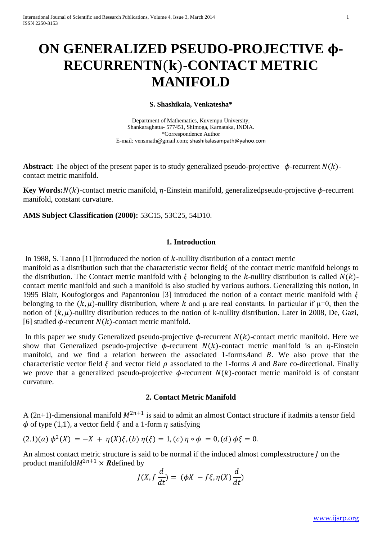# **ON GENERALIZED PSEUDO-PROJECTIVE - RECURRENT**()**-CONTACT METRIC MANIFOLD**

#### **S. Shashikala, Venkatesha\***

Department of Mathematics, Kuvempu University, Shankaraghatta- 577451, Shimoga, Karnataka, INDIA. \*Correspondence Author E-mail: vensmath@gmail.com; [shashikalasampath@yahoo.com](mailto:shashikalasampath@yahoo.com)

**Abstract:** The object of the present paper is to study generalized pseudo-projective  $\phi$ -recurrent  $N(k)$ contact metric manifold.

**Key Words:** $N(k)$ -contact metric manifold,  $\eta$ -Einstein manifold, generalizedpseudo-projective  $\phi$ -recurrent manifold, constant curvature.

**AMS Subject Classification (2000):** 53C15, 53C25, 54D10.

### **1. Introduction**

In 1988, S. Tanno [11] introduced the notion of  $k$ -nullity distribution of a contact metric manifold as a distribution such that the characteristic vector field  $\xi$  of the contact metric manifold belongs to the distribution. The Contact metric manifold with  $\xi$  belonging to the k-nullity distribution is called  $N(k)$ contact metric manifold and such a manifold is also studied by various authors. Generalizing this notion, in 1995 Blair, Koufogiorgos and Papantoniou [3] introduced the notion of a contact metric manifold with  $\xi$ belonging to the  $(k, \mu)$ -nullity distribution, where k and  $\mu$  are real constants. In particular if  $\mu=0$ , then the notion of  $(k, \mu)$ -nullity distribution reduces to the notion of k-nullity distribution. Later in 2008, De, Gazi, [6] studied  $\phi$ -recurrent  $N(k)$ -contact metric manifold.

In this paper we study Generalized pseudo-projective  $\phi$ -recurrent  $N(k)$ -contact metric manifold. Here we show that Generalized pseudo-projective  $\phi$ -recurrent  $N(k)$ -contact metric manifold is an  $\eta$ -Einstein manifold, and we find a relation between the associated 1-forms A and  $B$ . We also prove that the characteristic vector field  $\xi$  and vector field  $\rho$  associated to the 1-forms A and Bare co-directional. Finally we prove that a generalized pseudo-projective  $\phi$ -recurrent  $N(k)$ -contact metric manifold is of constant curvature.

### **2. Contact Metric Manifold**

A (2n+1)-dimensional manifold  $M^{2n+1}$  is said to admit an almost Contact structure if itadmits a tensor field  $\phi$  of type (1,1), a vector field  $\xi$  and a 1-form  $\eta$  satisfying

$$
(2.1)(a) \phi^{2}(X) = -X + \eta(X)\xi, (b) \eta(\xi) = 1, (c) \eta \circ \phi = 0, (d) \phi\xi = 0.
$$

An almost contact metric structure is said to be normal if the induced almost complexstructure  *on the* product manifold $M^{2n+1} \times R$  defined by

$$
J(X, f\frac{d}{dt}) = (\phi X - f\xi, \eta(X)\frac{d}{dt})
$$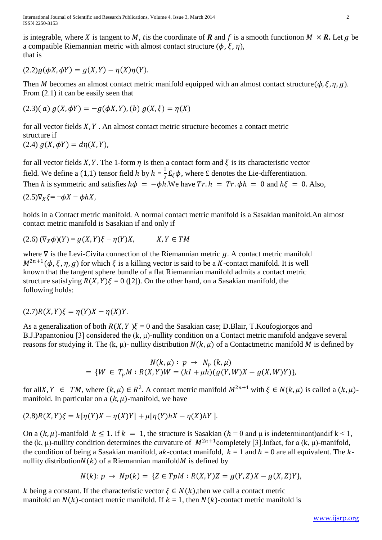is integrable, where X is tangent to M, tis the coordinate of **R** and f is a smooth functionon  $M \times R$ . Let g be a compatible Riemannian metric with almost contact structure ( $\phi$ ,  $\xi$ ,  $\eta$ ), that is

 $(2.2)q(\phi X, \phi Y) = q(X, Y) - n(X)\eta(Y).$ 

Then M becomes an almost contact metric manifold equipped with an almost contact structure( $\phi$ ,  $\xi$ ,  $\eta$ ,  $g$ ). From  $(2.1)$  it can be easily seen that

$$
(2.3)(a) g(X, \phi Y) = -g(\phi X, Y), (b) g(X, \xi) = \eta(X)
$$

for all vector fields  $X, Y$ . An almost contact metric structure becomes a contact metric structure if (2.4)  $g(X, \phi Y) = d\eta(X, Y)$ ,

for all vector fields X, Y. The 1-form  $\eta$  is then a contact form and  $\xi$  is its characteristic vector field. We define a (1,1) tensor field h by  $h = \frac{1}{2}$  $\frac{1}{2}E_{\xi}\phi$ , where £ denotes the Lie-differentiation. Then h is symmetric and satisfies  $h\phi = -\phi h$ . We have  $Tr \cdot h = Tr \cdot \phi h = 0$  and  $h\xi = 0$ . Also,  $(2.5)\nabla_x \xi = -\phi X - \phi hX$ ,

holds in a Contact metric manifold. A normal contact metric manifold is a Sasakian manifold.An almost contact metric manifold is Sasakian if and only if

 $(2.6)$   $(\nabla_X \phi)(Y) = g(X, Y)\xi - \eta(Y)X$ ,  $X, Y \in TM$ 

where  $\nabla$  is the Levi-Civita connection of the Riemannian metric  $g$ . A contact metric manifold  $M^{2n+1}(\phi, \xi, \eta, g)$  for which  $\xi$  is a killing vector is said to be a K-contact manifold. It is well known that the tangent sphere bundle of a flat Riemannian manifold admits a contact metric structure satisfying  $R(X, Y)\xi = 0$  ([2]). On the other hand, on a Sasakian manifold, the following holds:

 $(2.7)R(X, Y)\xi = \eta(Y)X - \eta(X)Y.$ 

As a generalization of both  $R(X, Y) \xi = 0$  and the Sasakian case; D.Blair, T.Koufogiorgos and B.J.Papantoniou [3] considered the (k, μ)-nullity condition on a Contact metric manifold andgave several reasons for studying it. The (k,  $\mu$ )- nullity distribution  $N(k, \mu)$  of a Contactmetric manifold M is defined by

$$
N(k,\mu): p \to N_p(k,\mu)
$$
  
= {*W*  $\in T_pM: R(X,Y)W = (kl + \mu h)(g(Y,W)X - g(X,W)Y)$ },

for allX,  $Y \in TM$ , where  $(k, \mu) \in R^2$ . A contact metric manifold  $M^{2n+1}$  with  $\xi \in N(k, \mu)$  is called a  $(k, \mu)$ manifold. In particular on a  $(k, \mu)$ -manifold, we have

$$
(2.8)R(X,Y)\xi = k[\eta(Y)X - \eta(X)Y] + \mu[\eta(Y)hX - \eta(X)hY].
$$

On a  $(k, \mu)$ -manifold  $k \le 1$ . If  $k = 1$ , the structure is Sasakian  $(h = 0$  and  $\mu$  is indeterminant)andif  $k < 1$ . the (k,  $\mu$ )-nullity condition determines the curvature of  $M^{2n+1}$ completely [3]. Infact, for a (k,  $\mu$ )-manifold, the condition of being a Sasakian manifold, ak-contact manifold,  $k = 1$  and  $h = 0$  are all equivalent. The knullity distribution $N(k)$  of a Riemannian manifold *M* is defined by

$$
N(k): p \to Np(k) = \{ Z \in TpM : R(X,Y)Z = g(Y,Z)X - g(X,Z)Y \},
$$

k being a constant. If the characteristic vector  $\xi \in N(k)$ , then we call a contact metric manifold an  $N(k)$ -contact metric manifold. If  $k = 1$ , then  $N(k)$ -contact metric manifold is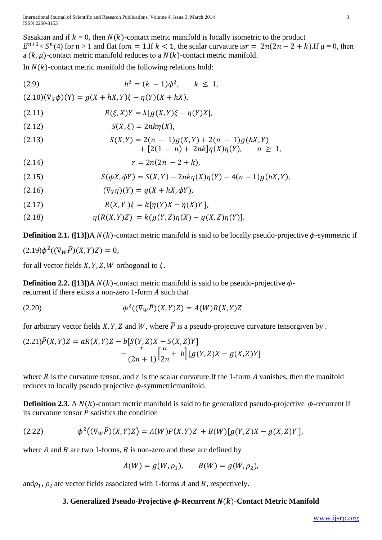Sasakian and if  $k = 0$ , then  $N(k)$ -contact metric manifold is locally isometric to the product  $E^{n+1} \times S^n(4)$  for n > 1 and flat for  $n = 1$ . If  $k < 1$ , the scalar curvature is  $r = 2n(2n - 2 + k)$ . If  $\mu = 0$ , then a  $(k, \mu)$ -contact metric manifold reduces to a  $N(k)$ -contact metric manifold.

In  $N(k)$ -contact metric manifold the following relations hold:

(2.9) 
$$
h^{2} = (k - 1)\phi^{2}, \quad k \leq 1,
$$

$$
(2.10)(\nabla_{X}\phi)(Y) = g(X + hX, Y)\xi - \eta(Y)(X + hX),
$$

$$
(2.11) \qquad R(\xi, X)Y = k[g(X, Y)\xi - \eta(Y)X],
$$

$$
(2.12) \qquad S(X, \xi) = 2nk\eta(X),
$$

$$
S(X, Y) = 2(n - 1)g(X, Y) + 2(n - 1)g(hX, Y) + [2(1 - n) + 2nk]\eta(X)\eta(Y), \quad n \geq 1,
$$

$$
r = 2n(2n - 2 + k),
$$

$$
(2.15) \qquad S(\phi X, \phi Y) = S(X, Y) - 2nk\eta(X)\eta(Y) - 4(n - 1)g(hX, Y),
$$

$$
(2.16) \qquad (\nabla_{X}\eta)(Y) = g(X + hX, \phi Y),
$$

$$
(2.17) \qquad R(X, Y)\xi = k[\eta(Y)X - \eta(X)Y],
$$

$$
n(R(X, Y)Z) = k(g(Y, Z)\eta(X) - g(X, Z)\eta(Y)).
$$

**Definition 2.1.** ([13])A  $N(k)$ -contact metric manifold is said to be locally pseudo-projective  $\phi$ -symmetric if  $(2.19)\phi^2((\nabla_W \bar{P})(X,Y)Z) = 0,$ 

for all vector fields  $X, Y, Z, W$  orthogonal to  $\xi$ .

**Definition 2.2.** ([13])A  $N(k)$ -contact metric manifold is said to be pseudo-projective  $\phi$ recurrent if there exists a non-zero 1-form  $A$  such that

$$
\phi^2((\nabla_W \overline{P})(X,Y)Z) = A(W)R(X,Y)Z
$$

for arbitrary vector fields X, Y, Z and W, where  $\overline{P}$  is a pseudo-projective curvature tensorgiven by.

$$
(2.21)\overline{P}(X,Y)Z = aR(X,Y)Z - b[S(Y,Z)X - S(X,Z)Y] - \frac{r}{(2n+1)}\left[\frac{a}{2n} + b\right][g(Y,Z)X - g(X,Z)Y]
$$

where  $R$  is the curvature tensor, and  $r$  is the scalar curvature. If the 1-form  $A$  vanishes, then the manifold reduces to locally pseudo projective  $\phi$ -symmetricmanifold.

**Definition 2.3.** A  $N(k)$ -contact metric manifold is said to be generalized pseudo-projective  $\phi$ -recurrent if its curvature tensor  $\overline{P}$  satisfies the condition

$$
(2.22) \t\t \phi^2((\nabla_W \overline{P})(X,Y)Z) = A(W)P(X,Y)Z + B(W)[g(Y,Z)X - g(X,Z)Y],
$$

where  $A$  and  $B$  are two 1-forms,  $B$  is non-zero and these are defined by

$$
A(W) = g(W, \rho_1), \qquad B(W) = g(W, \rho_2),
$$

and $\rho_1$ ,  $\rho_2$  are vector fields associated with 1-forms A and B, respectively.

## **3. Generalized Pseudo-Projective**  $\phi$ **-Recurrent**  $N(k)$ **-Contact Metric Manifold**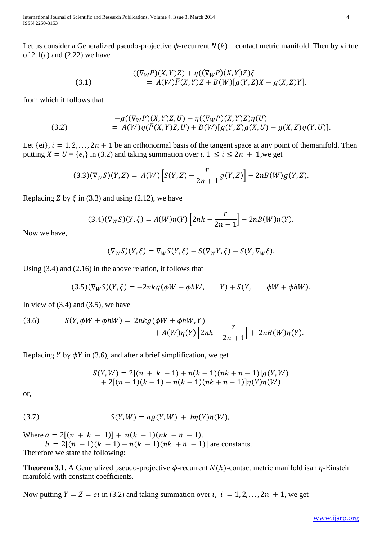International Journal of Scientific and Research Publications, Volume 4, Issue 3, March 2014 4 ISSN 2250-3153

Let us consider a Generalized pseudo-projective  $\phi$ -recurrent  $N(k)$  –contact metric manifold. Then by virtue of  $2.1(a)$  and  $(2.22)$  we have

(3.1) 
$$
-( (\nabla_W \bar{P})(X,Y)Z) + \eta ((\nabla_W \bar{P})(X,Y)Z) \xi = A(W) \bar{P}(X,Y)Z + B(W) [g(Y,Z)X - g(X,Z)Y],
$$

from which it follows that

(3.2) 
$$
-g((\nabla_W \overline{P})(X,Y)Z,U) + \eta((\nabla_W \overline{P})(X,Y)Z)\eta(U) = A(W)g(\overline{P}(X,Y)Z,U) + B(W)[g(Y,Z)g(X,U) - g(X,Z)g(Y,U)].
$$

Let  $\{ei\}$ ,  $i = 1, 2, ..., 2n + 1$  be an orthonormal basis of the tangent space at any point of themanifold. Then putting  $X = U = \{e_i\}$  in (3.2) and taking summation over  $i, 1 \le i \le 2n + 1$ , we get

$$
(3.3)(\nabla_W S)(Y,Z) = A(W)\left[S(Y,Z) - \frac{r}{2n+1}g(Y,Z)\right] + 2nB(W)g(Y,Z).
$$

Replacing Z by  $\xi$  in (3.3) and using (2.12), we have

$$
(3.4)(\nabla_W S)(Y,\xi) = A(W)\eta(Y)\left[2nk - \frac{r}{2n+1}\right] + 2nB(W)\eta(Y).
$$

Now we have,

$$
(\nabla_W S)(Y,\xi) = \nabla_W S(Y,\xi) - S(\nabla_W Y,\xi) - S(Y,\nabla_W \xi).
$$

Using (3.4) and (2.16) in the above relation, it follows that

$$
(3.5)(\nabla_W S)(Y,\xi) = -2nkg(\phi W + \phi hW, \qquad Y) + S(Y, \qquad \phi W + \phi hW).
$$

In view of  $(3.4)$  and  $(3.5)$ , we have

(3.6) 
$$
S(Y, \phi W + \phi hW) = 2nkg(\phi W + \phi hW, Y) + A(W)\eta(Y) \left[2nk - \frac{r}{2n+1}\right] + 2nB(W)\eta(Y).
$$

Replacing Y by  $\phi$ Y in (3.6), and after a brief simplification, we get

$$
S(Y, W) = 2[(n + k - 1) + n(k - 1)(nk + n - 1)]g(Y, W)
$$
  
+ 2[(n - 1)(k - 1) - n(k - 1)(nk + n - 1)]\eta(Y)\eta(W)

or,

$$
(3.7) \tS(Y,W) = ag(Y,W) + b\eta(Y)\eta(W),
$$

Where  $a = 2[(n + k - 1)] + n(k - 1)(nk + n - 1)$ ,

 $b = 2[(n - 1)(k - 1) - n(k - 1)(nk + n - 1)]$  are constants. Therefore we state the following:

**Theorem 3.1**. A Generalized pseudo-projective  $\phi$ -recurrent  $N(k)$ -contact metric manifold isan  $\eta$ -Einstein manifold with constant coefficients.

Now putting  $Y = Z = ei$  in (3.2) and taking summation over i,  $i = 1, 2, ..., 2n + 1$ , we get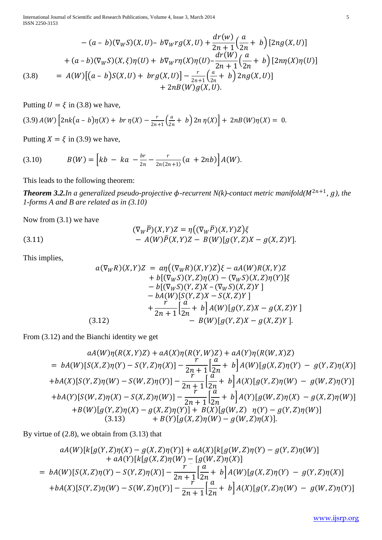International Journal of Scientific and Research Publications, Volume 4, Issue 3, March 2014 5 ISSN 2250-3153

$$
-(a - b)(\nabla_W S)(X, U) - b\nabla_W rg(X, U) + \frac{dr(w)}{2n + 1} \left(\frac{a}{2n} + b\right) [2ng(X, U)]
$$
  
+  $(a - b)(\nabla_W S)(X, \xi)\eta(U) + b\nabla_W r\eta(X)\eta(U) - \frac{dr(W)}{2n + 1} \left(\frac{a}{2n} + b\right) [2n\eta(X)\eta(U)]$   
(3.8) =  $A(W) [(a - b)S(X, U) + brg(X, U)] - \frac{r}{2n + 1} \left(\frac{a}{2n} + b\right) 2ng(X, U)]$   
+  $2nB(W)g(X, U).$ 

Putting  $U = \xi$  in (3.8) we have,

$$
(3.9) A(W) \left[ 2nk(a-b)\eta(X) + br\eta(X) - \frac{r}{2n+1} \left( \frac{a}{2n} + b \right) 2n\eta(X) \right] + 2nB(W)\eta(X) = 0.
$$

Putting  $X = \xi$  in (3.9) we have,

(3.10) 
$$
B(W) = \left[kb - ka - \frac{br}{2n} - \frac{r}{2n(2n+1)}(a + 2nb)\right]A(W).
$$

This leads to the following theorem:

**Theorem 3.2.***In a generalized pseudo-projective*  $\phi$ -recurrent N(k)-contact metric manifold( $M^{2n+1}$ , g), the *1-forms A and B are related as in (3.10)*

Now from (3.1) we have

(3.11)  
\n
$$
(\nabla_W \bar{P})(X,Y)Z = \eta ((\nabla_W \bar{P})(X,Y)Z)\xi
$$
\n
$$
- A(W)\bar{P}(X,Y)Z - B(W)[g(Y,Z)X - g(X,Z)Y].
$$

This implies,

$$
a(\nabla_W R)(X,Y)Z = a\eta ((\nabla_W R)(X,Y)Z)\xi - aA(W)R(X,Y)Z + b[(\nabla_W S)(Y,Z)\eta(X) - (\nabla_W S)(X,Z)\eta(Y)]\xi - b[(\nabla_W S)(Y,Z)X - (\nabla_W S)(X,Z)Y] - bA(W)[S(Y,Z)X - S(X,Z)Y] + \frac{r}{2n+1}[\frac{a}{2n} + b]A(W)[g(Y,Z)X - g(X,Z)Y] - B(W)[g(Y,Z)X - g(X,Z)Y].
$$

From (3.12) and the Bianchi identity we get

$$
aA(W)\eta(R(X,Y)Z) + aA(X)\eta(R(Y,W)Z) + aA(Y)\eta(R(W,X)Z)
$$
  
=  $bA(W)[S(X,Z)\eta(Y) - S(Y,Z)\eta(X)] - \frac{r}{2n+1} \left[\frac{a}{2n} + b\right]A(W)[g(X,Z)\eta(Y) - g(Y,Z)\eta(X)]$   
+ $bA(X)[S(Y,Z)\eta(W) - S(W,Z)\eta(Y)] - \frac{r}{2n+1} \left[\frac{a}{2n} + b\right]A(X)[g(Y,Z)\eta(W) - g(W,Z)\eta(Y)]$   
+ $bA(Y)[S(W,Z)\eta(X) - S(X,Z)\eta(W)] - \frac{r}{2n+1} \left[\frac{a}{2n} + b\right]A(Y)[g(W,Z)\eta(X) - g(X,Z)\eta(W)]$   
+ $B(W)[g(Y,Z)\eta(X) - g(X,Z)\eta(Y)] + B(X)[g(W,Z) - g(Y,Z)\eta(W)]$   
(3.13)  $+ B(Y)[g(X,Z)\eta(W) - g(W,Z)\eta(X)].$ 

By virtue of (2.8), we obtain from (3.13) that

$$
aA(W)[k[g(Y, Z)\eta(X) - g(X, Z)\eta(Y)] + aA(X)[k[g(W, Z)\eta(Y) - g(Y, Z)\eta(W)]+ aA(Y)[k[g(X, Z)\eta(W) - [g(W, Z)\eta(X)]= bA(W)[S(X, Z)\eta(Y) - S(Y, Z)\eta(X)] - \frac{r}{2n+1}\left[\frac{a}{2n} + b\right]A(W)[g(X, Z)\eta(Y) - g(Y, Z)\eta(X)]+ bA(X)[S(Y, Z)\eta(W) - S(W, Z)\eta(Y)] - \frac{r}{2n+1}\left[\frac{a}{2n} + b\right]A(X)[g(Y, Z)\eta(W) - g(W, Z)\eta(Y)]
$$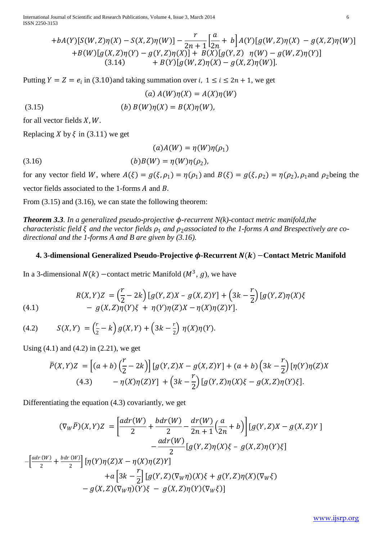International Journal of Scientific and Research Publications, Volume 4, Issue 3, March 2014 6 ISSN 2250-3153

$$
+bA(Y)[S(W,Z)\eta(X)-S(X,Z)\eta(W)]-\frac{r}{2n+1}\Big[\frac{a}{2n}+b\Big]A(Y)[g(W,Z)\eta(X)-g(X,Z)\eta(W)]+B(W)[g(X,Z)\eta(Y)-g(Y,Z)\eta(X)]+B(X)[g(Y,Z)\eta(W)-g(W,Z)\eta(Y)](3.14) +B(Y)[g(W,Z)\eta(X)-g(X,Z)\eta(W)].
$$

Putting  $Y = Z = e_i$  in (3.10)and taking summation over *i*,  $1 \le i \le 2n + 1$ , we get

(3.15)   
\n(a) 
$$
A(W)\eta(X) = A(X)\eta(W)
$$
  
\n(b)  $B(W)\eta(X) = B(X)\eta(W)$ ,

for all vector fields  $X, W$ .

Replacing X by  $\xi$  in (3.11) we get

$$
(a)A(W) = \eta(W)\eta(\rho_1)
$$

(3.16) 
$$
(b)B(W) = \eta(W)\eta(\rho_2),
$$

for any vector field W, where  $A(\xi) = g(\xi, \rho_1) = \eta(\rho_1)$  and  $B(\xi) = g(\xi, \rho_2) = \eta(\rho_2)$ ,  $\rho_1$  and  $\rho_2$  being the vector fields associated to the 1-forms  $A$  and  $B$ .

From  $(3.15)$  and  $(3.16)$ , we can state the following theorem:

*Theorem 3.3. In a generalized pseudo-projective -recurrent N(k)-contact metric manifold,the characteristic field*  $\xi$  *and the vector fields*  $\rho_1$  *and*  $\rho_2$ *associated to the 1-forms A and Brespectively are codirectional and the 1-forms A and B are given by (3.16).*

#### **4. 3-dimensional Generalized Pseudo-Projective**  $\phi$ **-Recurrent**  $N(k)$  **– Contact Metric Manifold**

In a 3-dimensional  $N(k)$  –contact metric Manifold ( $M^3$ , g), we have

(4.1) 
$$
R(X,Y)Z = \left(\frac{r}{2} - 2k\right)[g(Y,Z)X - g(X,Z)Y] + \left(3k - \frac{r}{2}\right)[g(Y,Z)\eta(X)\xi - g(X,Z)\eta(Y)\xi + \eta(Y)\eta(Z)X - \eta(X)\eta(Z)Y].
$$

(4.2) 
$$
S(X,Y) = (\frac{r}{2} - k) g(X,Y) + (3k - \frac{r}{2}) \eta(X)\eta(Y).
$$

Using  $(4.1)$  and  $(4.2)$  in  $(2.21)$ , we get

$$
\bar{P}(X,Y)Z = [(a+b)\left(\frac{r}{2} - 2k\right)][g(Y,Z)X - g(X,Z)Y] + (a+b)\left(3k - \frac{r}{2}\right)[\eta(Y)\eta(Z)X - \eta(X)\eta(Z)Y] + \left(3k - \frac{r}{2}\right)[g(Y,Z)\eta(X)\xi - g(X,Z)\eta(Y)\xi].
$$

Differentiating the equation (4.3) covariantly, we get

$$
(\nabla_{W}\bar{P})(X,Y)Z = \left[\frac{adr(W)}{2} + \frac{bdr(W)}{2} - \frac{dr(W)}{2n+1}\left(\frac{a}{2n} + b\right)\right][g(Y,Z)X - g(X,Z)Y] - \frac{adr(W)}{2}[g(Y,Z)\eta(X)\xi - g(X,Z)\eta(Y)\xi] - \left[\frac{adr(W)}{2} + \frac{bdr(W)}{2}\right][\eta(Y)\eta(Z)X - \eta(X)\eta(Z)Y] + a\left[3k - \frac{r}{2}\right][g(Y,Z)(\nabla_{W}\eta)(X)\xi + g(Y,Z)\eta(X)(\nabla_{W}\xi) - g(X,Z)(\nabla_{W}\eta)(Y)\xi - g(X,Z)\eta(Y)(\nabla_{W}\xi)]
$$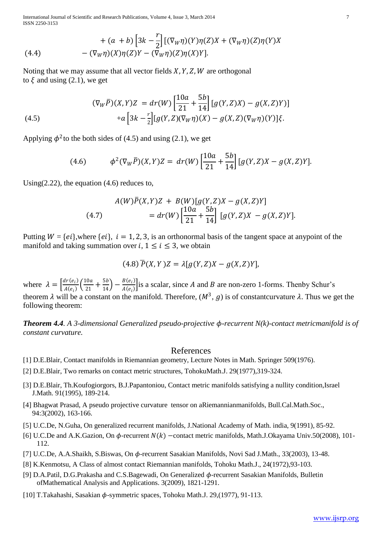International Journal of Scientific and Research Publications, Volume 4, Issue 3, March 2014 7 ISSN 2250-3153

(4.4) 
$$
+ (a + b) \left[3k - \frac{r}{2}\right] \left[ (\nabla_W \eta)(Y) \eta(Z) X + (\nabla_W \eta)(Z) \eta(Y) X - (\nabla_W \eta)(X) \eta(Z) Y - (\nabla_W \eta)(Z) \eta(X) Y \right].
$$

Noting that we may assume that all vector fields  $X, Y, Z, W$  are orthogonal to  $\xi$  and using (2.1), we get

(4.5) 
$$
(\nabla_W \overline{P})(X,Y)Z = dr(W) \left[ \frac{10a}{21} + \frac{5b}{14} \right] [g(Y,Z)X) - g(X,Z)Y]
$$

$$
+ a \left[ 3k - \frac{r}{2} \right] [g(Y,Z)(\nabla_W \eta)(X) - g(X,Z)(\nabla_W \eta)(Y)]\xi.
$$

Applying  $\phi^2$  to the both sides of (4.5) and using (2.1), we get

(4.6) 
$$
\phi^2(\nabla_W \overline{P})(X,Y)Z = dr(W)\left[\frac{10a}{21} + \frac{5b}{14}\right][g(Y,Z)X - g(X,Z)Y].
$$

Using(2.22), the equation (4.6) reduces to,

(4.7) 
$$
A(W)\overline{P}(X,Y)Z + B(W)[g(Y,Z)X - g(X,Z)Y]
$$

$$
= dr(W)\left[\frac{10a}{21} + \frac{5b}{14}\right][g(Y,Z)X - g(X,Z)Y].
$$

Putting  $W = \{ei\}$ , where  $\{ei\}$ ,  $i = 1, 2, 3$ , is an orthonormal basis of the tangent space at anypoint of the manifold and taking summation over  $i, 1 \le i \le 3$ , we obtain

$$
(4.8)\overline{P}(X,Y)Z = \lambda[g(Y,Z)X - g(X,Z)Y],
$$

where  $\lambda = \left[\frac{dr(e_i)}{4\epsilon}\right]$  $\frac{dr(e_i)}{A(e_i)}\bigg(\frac{10a}{21}$  $\frac{10a}{21} + \frac{5b}{14} - \frac{B(e_i)}{A(e_i)}$  $\frac{B(e_i)}{A(e_i)}$  is a scalar, since A and B are non-zero 1-forms. Thenby Schur's theorem  $\lambda$  will be a constant on the manifold. Therefore,  $(M^3, g)$  is of constantcurvature  $\lambda$ . Thus we get the following theorem:

*Theorem 4.4. A 3-dimensional Generalized pseudo-projective -recurrent N(k)-contact metricmanifold is of constant curvature.*

#### References

- [1] D.E.Blair, Contact manifolds in Riemannian geometry, Lecture Notes in Math. Springer 509(1976).
- [2] D.E.Blair, Two remarks on contact metric structures, TohokuMath.J. 29(1977),319-324.
- [3] D.E.Blair, Th.Koufogiorgors, B.J.Papantoniou, Contact metric manifolds satisfying a nullity condition,Israel J.Math. 91(1995), 189-214.
- [4] Bhagwat Prasad, A pseudo projective curvature tensor on aRiemannianmanifolds, Bull.Cal.Math.Soc., 94:3(2002), 163-166.
- [5] U.C.De, N.Guha, On generalized recurrent manifolds, J.National Academy of Math. india, 9(1991), 85-92.
- [6] U.C.De and A.K.Gazion, On  $\phi$ -recurrent  $N(k)$  -contact metric manifolds, Math.J.Okayama Univ.50(2008), 101-112.
- [7] U.C.De, A.A.Shaikh, S.Biswas, On  $\phi$ -recurrent Sasakian Manifolds, Novi Sad J.Math., 33(2003), 13-48.
- [8] K.Kenmotsu, A Class of almost contact Riemannian manifolds, Tohoku Math.J., 24(1972),93-103.
- [9] D.A.Patil, D.G.Prakasha and C.S.Bagewadi, On Generalized  $\phi$ -recurrent Sasakian Manifolds, Bulletin ofMathematical Analysis and Applications. 3(2009), 1821-1291.
- [10] T.Takahashi, Sasakian  $\phi$ -symmetric spaces, Tohoku Math.J. 29,(1977), 91-113.